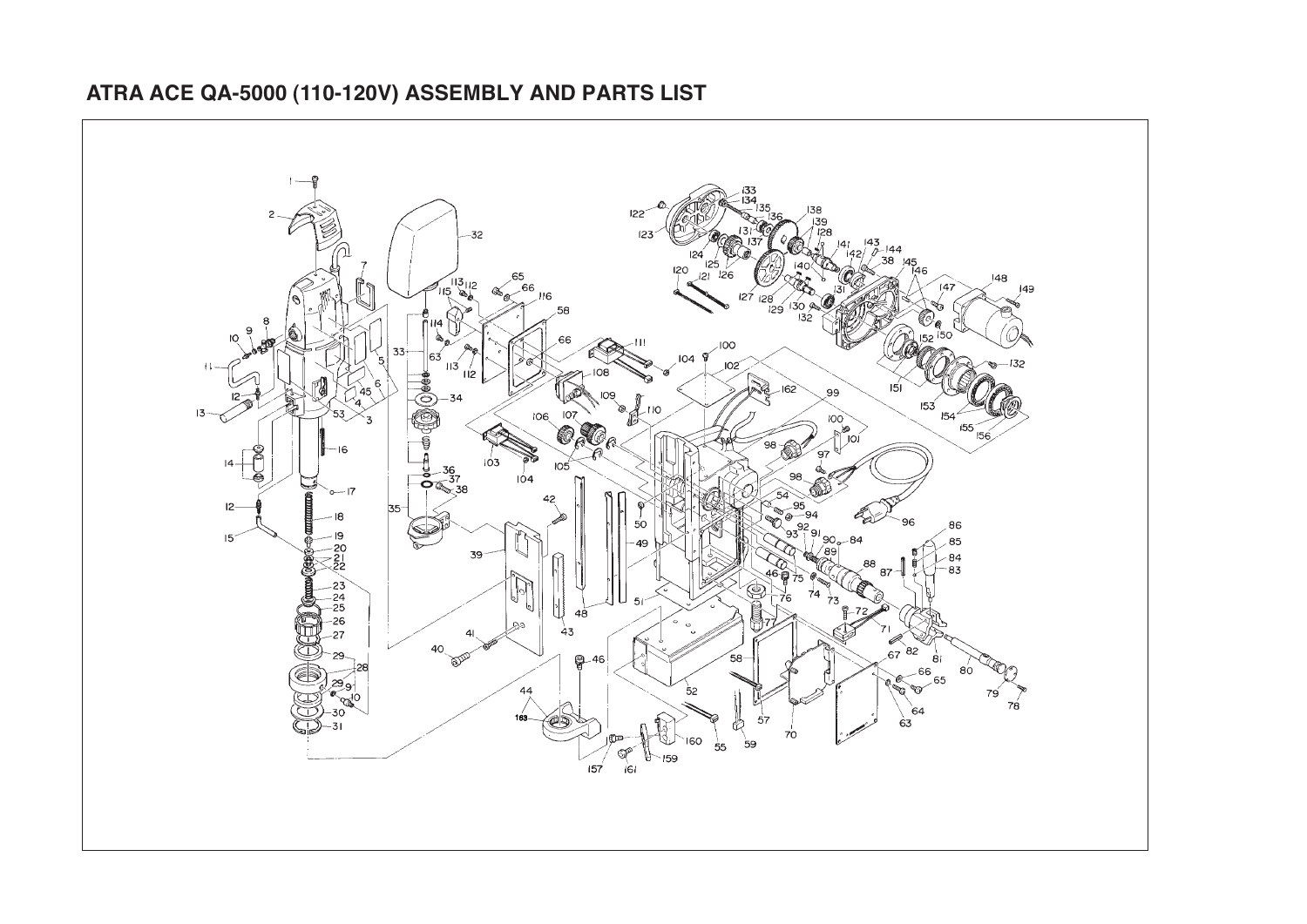

## **ATRA ACE QA-5000 (110-120V) ASSEMBLY AND PARTS LIST**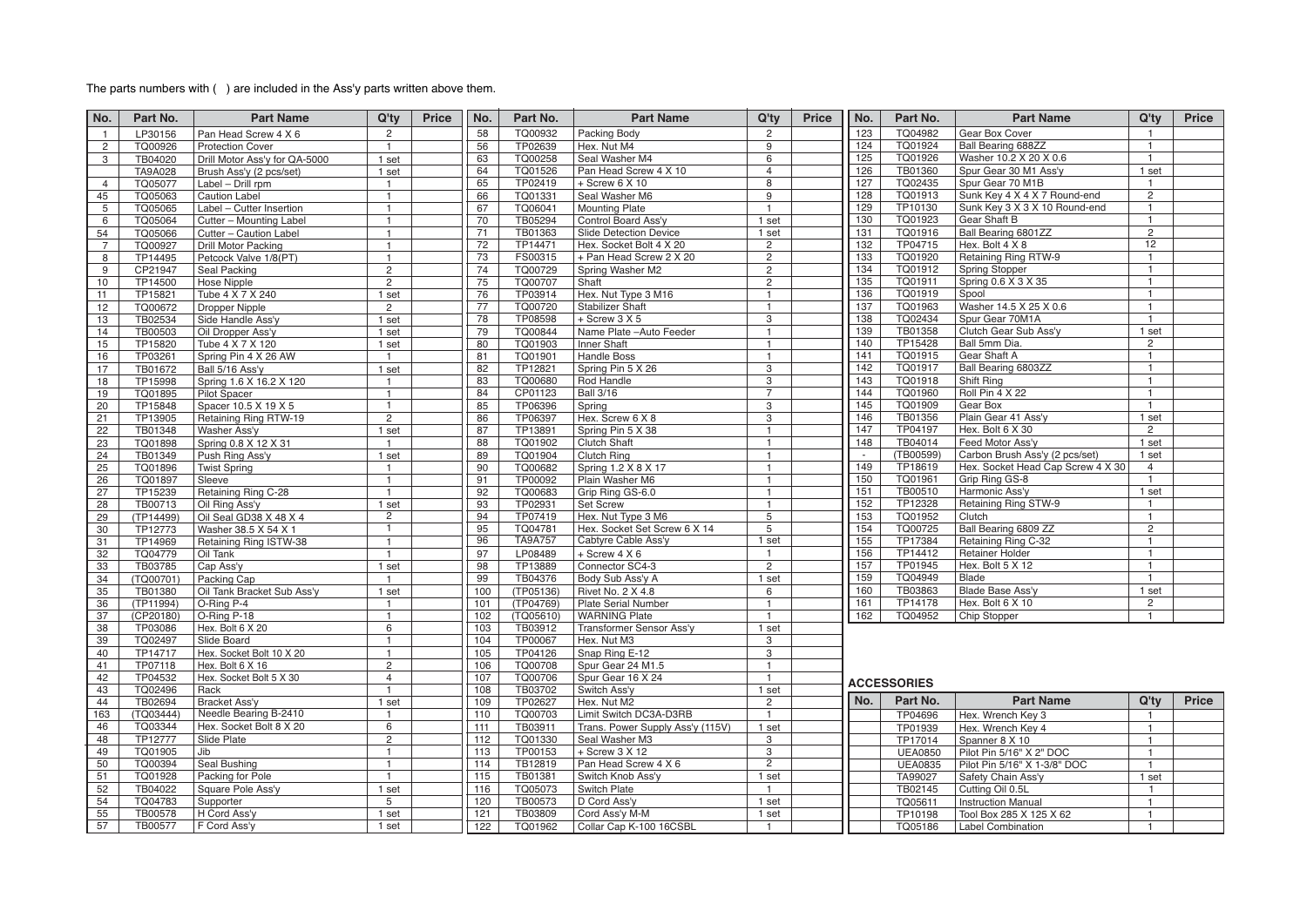## The parts numbers with ( ) are included in the Ass'y parts written above them.

| No.            | Part No.             | <b>Part Name</b>                          | Q'ty                           | <b>Price</b> | No.        | Part No.             | <b>Part Name</b>                      | Q'ty                             | <b>Price</b> | No.        | Part No.           | <b>Part Name</b>                              | Q'ty                           | Price |
|----------------|----------------------|-------------------------------------------|--------------------------------|--------------|------------|----------------------|---------------------------------------|----------------------------------|--------------|------------|--------------------|-----------------------------------------------|--------------------------------|-------|
| $\mathbf{1}$   | LP30156              | Pan Head Screw 4 X 6                      | $\overline{2}$                 |              | 58         | TQ00932              | Packing Body                          | $\overline{2}$                   |              | 123        | TQ04982            | Gear Box Cover                                | $\overline{1}$                 |       |
| $\overline{c}$ | TQ00926              | <b>Protection Cover</b>                   | $\mathbf{1}$                   |              | 56         | TP02639              | Hex. Nut M4                           | $\overline{9}$                   |              | 124        | TQ01924            | <b>Ball Bearing 688ZZ</b>                     | $\overline{1}$                 |       |
| 3              | TB04020              | Drill Motor Ass'y for QA-5000             | 1 set                          |              | 63         | TQ00258              | Seal Washer M4                        | 6                                |              | 125        | TQ01926            | Washer 10.2 X 20 X 0.6                        | $\mathbf{1}$                   |       |
|                | <b>TA9A028</b>       | Brush Ass'y (2 pcs/set)                   | 1 set                          |              | 64         | TQ01526              | Pan Head Screw 4 X 10                 | $\overline{4}$                   |              | 126        | TB01360            | Spur Gear 30 M1 Ass'v                         | 1 set                          |       |
| $\overline{4}$ | TQ05077              | Label - Drill rpm                         | $\blacksquare$                 |              | 65         | TP02419              | $+$ Screw 6 X 10                      | $\overline{8}$                   |              | 127        | TQ02435            | Spur Gear 70 M1B                              | $\mathbf{1}$                   |       |
| 45             | TQ05063              | <b>Caution Label</b>                      | $\mathbf{1}$                   |              | 66         | TQ01331              | Seal Washer M6                        | $\overline{9}$                   |              | 128        | TQ01913            | Sunk Key 4 X 4 X 7 Round-end                  | $\overline{c}$                 |       |
| 5              | TQ05065              | Label - Cutter Insertion                  | $\mathbf{1}$                   |              | 67         | TQ06041              | <b>Mounting Plate</b>                 | $\overline{1}$                   |              | 129        | TP10130            | Sunk Key 3 X 3 X 10 Round-end                 | $\mathbf{1}$                   |       |
| 6              | TQ05064              | Cutter - Mounting Label                   | $\mathbf{1}$                   |              | 70         | TB05294              | Control Board Ass'y                   | 1 set                            |              | 130        | TQ01923            | Gear Shaft B                                  | $\mathbf{1}$                   |       |
| 54             | TQ05066              | Cutter - Caution Label                    | $\overline{1}$                 |              | 71         | TB01363              | <b>Slide Detection Device</b>         | 1 set                            |              | 131        | TQ01916            | Ball Bearing 6801ZZ                           | $\mathbf{2}^{\prime}$          |       |
| $\overline{7}$ | TQ00927              | Drill Motor Packing                       | $\mathbf{1}$                   |              | 72         | TP14471              | Hex. Socket Bolt 4 X 20               | $\overline{2}$                   |              | 132        | TP04715            | Hex. Bolt 4 X 8                               | 12                             |       |
| 8              | TP14495              | Petcock Valve 1/8(PT)                     | $\mathbf{1}$                   |              | 73         | FS00315              | + Pan Head Screw 2 X 20               | $\overline{2}$                   |              | 133        | TQ01920            | Retaining Ring RTW-9                          | $\mathbf{1}$                   |       |
| 9              | CP21947              | Seal Packing                              | $\overline{2}$                 |              | 74         | TQ00729              | Spring Washer M2                      | $\overline{2}$                   |              | 134        | TQ01912            | <b>Spring Stopper</b>                         | $\mathbf{1}$                   |       |
| 10             | TP14500              | Hose Nipple                               | $\overline{2}$                 |              | 75         | TQ00707              | Shaft                                 | $\overline{2}$                   |              | 135        | TQ01911            | Spring 0.6 X 3 X 35                           | $\overline{1}$                 |       |
| 11             | TP15821              | Tube 4 X 7 X 240                          | 1 set                          |              | 76         | TP03914              | Hex. Nut Type 3 M16                   | $\mathbf{1}$                     |              | 136        | TQ01919            | Spool                                         | $\mathbf{1}$                   |       |
| 12             | TQ00672              | Dropper Nipple                            | $\overline{2}$                 |              | 77         | TQ00720              | <b>Stabilizer Shaft</b>               | $\overline{1}$                   |              | 137        | TQ01963            | Washer 14.5 X 25 X 0.6                        | $\mathbf{1}$                   |       |
| 13             | TB02534              | Side Handle Ass'y                         | 1 set                          |              | 78         | TP08598              | $+$ Screw 3 X 5                       | $\overline{3}$                   |              | 138        | TQ02434            | Spur Gear 70M1A                               | $\mathbf{1}$                   |       |
| 14             | TB00503              | Oil Dropper Ass'y                         | 1 set                          |              | 79         | TQ00844              | Name Plate - Auto Feeder              | $\overline{1}$<br>$\overline{1}$ |              | 139<br>140 | TB01358<br>TP15428 | Clutch Gear Sub Ass'y<br>Ball 5mm Dia.        | 1 set<br>$\mathbf{2}^{\prime}$ |       |
| 15             | TP15820              | Tube 4 X 7 X 120                          | 1 set<br>$\overline{1}$        |              | 80<br>81   | TQ01903<br>TQ01901   | Inner Shaft<br><b>Handle Boss</b>     | $\mathbf{1}$                     |              | 141        | TQ01915            | Gear Shaft A                                  | $\mathbf{1}$                   |       |
| 16<br>17       | TP03261<br>TB01672   | Spring Pin 4 X 26 AW<br>Ball 5/16 Ass'y   | 1 set                          |              | 82         | TP12821              | Spring Pin 5 X 26                     | 3                                |              | 142        | TQ01917            | Ball Bearing 6803ZZ                           | $\mathbf{1}$                   |       |
| 18             | TP15998              | Spring 1.6 X 16.2 X 120                   | $\overline{1}$                 |              | 83         | TQ00680              | Rod Handle                            | 3                                |              | 143        | TQ01918            | Shift Ring                                    | $\mathbf{1}$                   |       |
| 19             | TQ01895              | <b>Pilot Spacer</b>                       | $\mathbf{1}$                   |              | 84         | CP01123              | <b>Ball 3/16</b>                      | $\overline{7}$                   |              | 144        | TQ01960            | Roll Pin 4 X 22                               | $\mathbf{1}$                   |       |
| 20             | TP15848              | Spacer 10.5 X 19 X 5                      | $\mathbf{1}$                   |              | 85         | TP06396              | Spring                                | 3                                |              | 145        | TQ01909            | Gear Box                                      | $\mathbf{1}$                   |       |
| 21             | TP13905              | Retaining Ring RTW-19                     | $\overline{2}$                 |              | 86         | TP06397              | Hex. Screw 6 X 8                      | $\overline{3}$                   |              | 146        | TB01356            | Plain Gear 41 Ass'y                           | 1 set                          |       |
| 22             | TB01348              | Washer Ass'y                              | 1 set                          |              | 87         | TP13891              | Spring Pin 5 X 38                     | $\mathbf{1}$                     |              | 147        | TP04197            | Hex. Bolt 6 X 30                              | $\mathbf{2}^{\prime}$          |       |
| 23             | TQ01898              | Spring 0.8 X 12 X 31                      | $\mathbf{1}$                   |              | 88         | TQ01902              | <b>Clutch Shaft</b>                   | $\mathbf{1}$                     |              | 148        | TB04014            | Feed Motor Ass'v                              | 1 set                          |       |
| 24             | TB01349              | Push Ring Ass'y                           | 1 set                          |              | 89         | TQ01904              | <b>Clutch Ring</b>                    | $\mathbf{1}$                     |              | $\sim$     | (TB00599)          | Carbon Brush Ass'y (2 pcs/set)                | 1 set                          |       |
| 25             | TQ01896              | <b>Twist Spring</b>                       | $\overline{1}$                 |              | 90         | TQ00682              | Spring 1.2 X 8 X 17                   | $\mathbf{1}$                     |              | 149        | TP18619            | Hex. Socket Head Cap Screw 4 X 30             | $\overline{4}$                 |       |
| 26             | TQ01897              | Sleeve                                    | $\mathbf{1}$                   |              | 91         | TP00092              | Plain Washer M6                       | $\mathbf{1}$                     |              | 150        | TQ01961            | Grip Ring GS-8                                | $\mathbf{1}$                   |       |
| 27             | TP15239              | Retaining Ring C-28                       | $\mathbf{1}$                   |              | 92         | TQ00683              | Grip Ring GS-6.0                      | $\overline{1}$                   |              | 151        | TB00510            | Harmonic Ass'y                                | 1 set                          |       |
| 28             | TB00713              | Oil Ring Ass'y                            | 1 set                          |              | 93         | TP02931              | Set Screw                             | $\overline{1}$                   |              | 152        | TP12328            | Retaining Ring STW-9                          | $\mathbf{1}$                   |       |
| 29             | (TP14499)            | Oil Seal GD38 X 48 X 4                    | $\overline{2}$                 |              | 94         | TP07419              | Hex. Nut Type 3 M6                    | $\overline{5}$                   |              | 153        | TQ01952            | Clutch                                        | $\mathbf{1}$                   |       |
| 30             | TP12773              | Washer 38.5 X 54 X 1                      | $\overline{1}$                 |              | 95         | TQ04781              | Hex. Socket Set Screw 6 X 14          | 5                                |              | 154        | TQ00725            | Ball Bearing 6809 ZZ                          | $\mathbf{2}$                   |       |
| 31             | TP14969              | Retaining Ring ISTW-38                    | $\mathbf{1}$                   |              | 96         | <b>TA9A757</b>       | Cabtyre Cable Ass'y                   | 1 set<br>$\mathbf{1}$            |              | 155        | TP17384            | Retaining Ring C-32                           | $\mathbf{1}$<br>$\mathbf{1}$   |       |
| 32             | TQ04779              | Oil Tank                                  | $\mathbf{1}$                   |              | 97         | LP08489              | $+$ Screw 4 X 6                       |                                  |              | 156<br>157 | TP14412<br>TP01945 | <b>Retainer Holder</b><br>Hex. Bolt 5 X 12    | $\mathbf{1}$                   |       |
| 33<br>34       | TB03785              | Cap Ass'y                                 | 1 set<br>$\overline{1}$        |              | 98<br>99   | TP13889              | Connector SC4-3                       | $\overline{2}$<br>1 set          |              | 159        | TQ04949            | Blade                                         | $\mathbf{1}$                   |       |
| 35             | (TQ00701)<br>TB01380 | Packing Cap<br>Oil Tank Bracket Sub Ass'y | 1 set                          |              | 100        | TB04376<br>(TP05136) | Body Sub Ass'y A<br>Rivet No. 2 X 4.8 | 6                                |              | 160        | TB03863            | Blade Base Ass'y                              | 1 set                          |       |
| 36             | (TP11994)            | O-Ring P-4                                | $\overline{1}$                 |              | 101        | (TP04769)            | <b>Plate Serial Number</b>            | $\mathbf{1}$                     |              | 161        | TP14178            | Hex. Bolt 6 X 10                              | 2                              |       |
| 37             | (CP20180)            | O-Ring P-18                               | $\mathbf{1}$                   |              | 102        | (TQ05610)            | <b>WARNING Plate</b>                  | $\overline{1}$                   |              | 162        | TQ04952            | Chip Stopper                                  | $\mathbf{1}$                   |       |
| 38             | TP03086              | Hex. Bolt 6 X 20                          | 6                              |              | 103        | TB03912              | Transformer Sensor Ass'y              | 1 set                            |              |            |                    |                                               |                                |       |
| 39             | TQ02497              | Slide Board                               | $\mathbf{1}$                   |              | 104        | TP00067              | Hex. Nut M3                           | 3                                |              |            |                    |                                               |                                |       |
| 40             | TP14717              | Hex. Socket Bolt 10 X 20                  | $\mathbf{1}$                   |              | 105        | TP04126              | Snap Ring E-12                        | 3                                |              |            |                    |                                               |                                |       |
| 41             | TP07118              | Hex. Bolt 6 X 16                          | $\overline{2}$                 |              | 106        | TQ00708              | Spur Gear 24 M1.5                     | $\mathbf{1}$                     |              |            |                    |                                               |                                |       |
| 42             | TP04532              | Hex. Socket Bolt 5 X 30                   | $\overline{4}$                 |              | 107        | TQ00706              | Spur Gear 16 X 24                     | $\overline{1}$                   |              |            | <b>ACCESSORIES</b> |                                               |                                |       |
| 43             | TQ02496              | Rack                                      | $\mathbf{1}$                   |              | 108        | TB03702              | Switch Ass'y                          | 1 set                            |              |            |                    |                                               |                                |       |
| 44             | TB02694              | Bracket Ass'y                             | 1 set                          |              | 109        | TP02627              | Hex. Nut M2                           | $\overline{2}$                   |              | No.        | Part No.           | <b>Part Name</b>                              | $Q'$ ty                        | Price |
| 163            | (TQ03444)            | Needle Bearing B-2410                     | $\mathbf{1}$                   |              | 110        | TQ00703              | Limit Switch DC3A-D3RB                | $\mathbf{1}$                     |              |            | TP04696            | Hex. Wrench Key 3                             | $\mathbf{1}$                   |       |
| 46             | TQ03344              | Hex. Socket Bolt 8 X 20                   | 6                              |              | 111        | TB03911              | Trans. Power Supply Ass'y (115V)      | 1 set                            |              |            | TP01939            | Hex. Wrench Key 4                             | $\overline{1}$                 |       |
| 48             | TP12777              | Slide Plate                               | $\overline{2}$                 |              | 112        | TQ01330              | Seal Washer M3                        | 3                                |              |            | TP17014            | Spanner 8 X 10                                | $\mathbf{1}$                   |       |
| 49             | TQ01905              | Jib                                       | $\mathbf{1}$                   |              | 113        | TP00153              | $+$ Screw 3 X 12                      | 3<br>$\overline{2}$              |              |            | <b>UEA0850</b>     | Pilot Pin 5/16" X 2" DOC                      | $\mathbf{1}$                   |       |
| 50             | TQ00394              | Seal Bushing                              | $\mathbf{1}$<br>$\overline{1}$ |              | 114        | TB12819              | Pan Head Screw 4 X 6                  |                                  |              |            | <b>UEA0835</b>     | Pilot Pin 5/16" X 1-3/8" DOC                  | $\mathbf{1}$                   |       |
| 51<br>52       | TQ01928<br>TB04022   | Packing for Pole<br>Square Pole Ass'y     | 1 set                          |              | 115<br>116 | TB01381<br>TQ05073   | Switch Knob Ass'y<br>Switch Plate     | 1 set<br>$\mathbf{1}$            |              |            | TA99027<br>TB02145 | Safety Chain Ass'y                            | 1 set<br>$\mathbf{1}$          |       |
| 54             | TQ04783              | Supporter                                 | 5                              |              | 120        | TB00573              | D Cord Ass'y                          | 1 set                            |              |            | TQ05611            | Cutting Oil 0.5L<br><b>Instruction Manual</b> | $\mathbf{1}$                   |       |
| 55             | TB00578              | H Cord Ass'y                              | 1 set                          |              | 121        | TB03809              | Cord Ass'y M-M                        | 1 set                            |              |            | TP10198            | Tool Box 285 X 125 X 62                       | $\mathbf{1}$                   |       |
| 57             | TB00577              | F Cord Ass'y                              | 1 set                          |              | 122        | TQ01962              | Collar Cap K-100 16CSBL               | $\overline{1}$                   |              |            | TQ05186            | <b>Label Combination</b>                      | $\mathbf{1}$                   |       |
|                |                      |                                           |                                |              |            |                      |                                       |                                  |              |            |                    |                                               |                                |       |